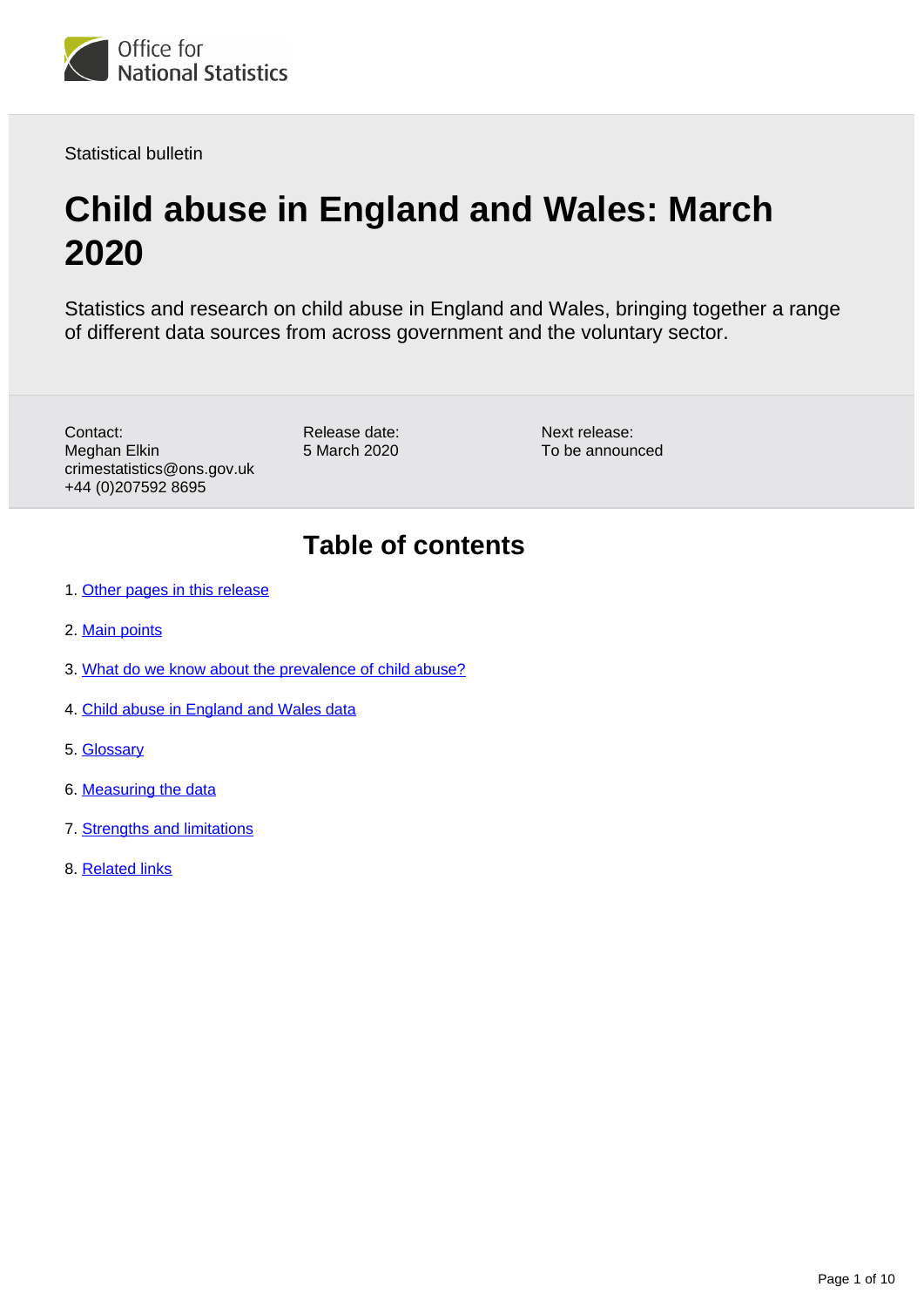

Statistical bulletin

# **Child abuse in England and Wales: March 2020**

Statistics and research on child abuse in England and Wales, bringing together a range of different data sources from across government and the voluntary sector.

Contact: Meghan Elkin crimestatistics@ons.gov.uk +44 (0)207592 8695

Release date: 5 March 2020 Next release: To be announced

## **Table of contents**

- 1. [Other pages in this release](#page-1-0)
- 2. [Main points](#page-1-1)
- 3. [What do we know about the prevalence of child abuse?](#page-3-0)
- 4. [Child abuse in England and Wales data](#page-6-0)
- 5. [Glossary](#page-6-1)
- 6. [Measuring the data](#page-8-0)
- 7. [Strengths and limitations](#page-8-1)
- 8. [Related links](#page-9-0)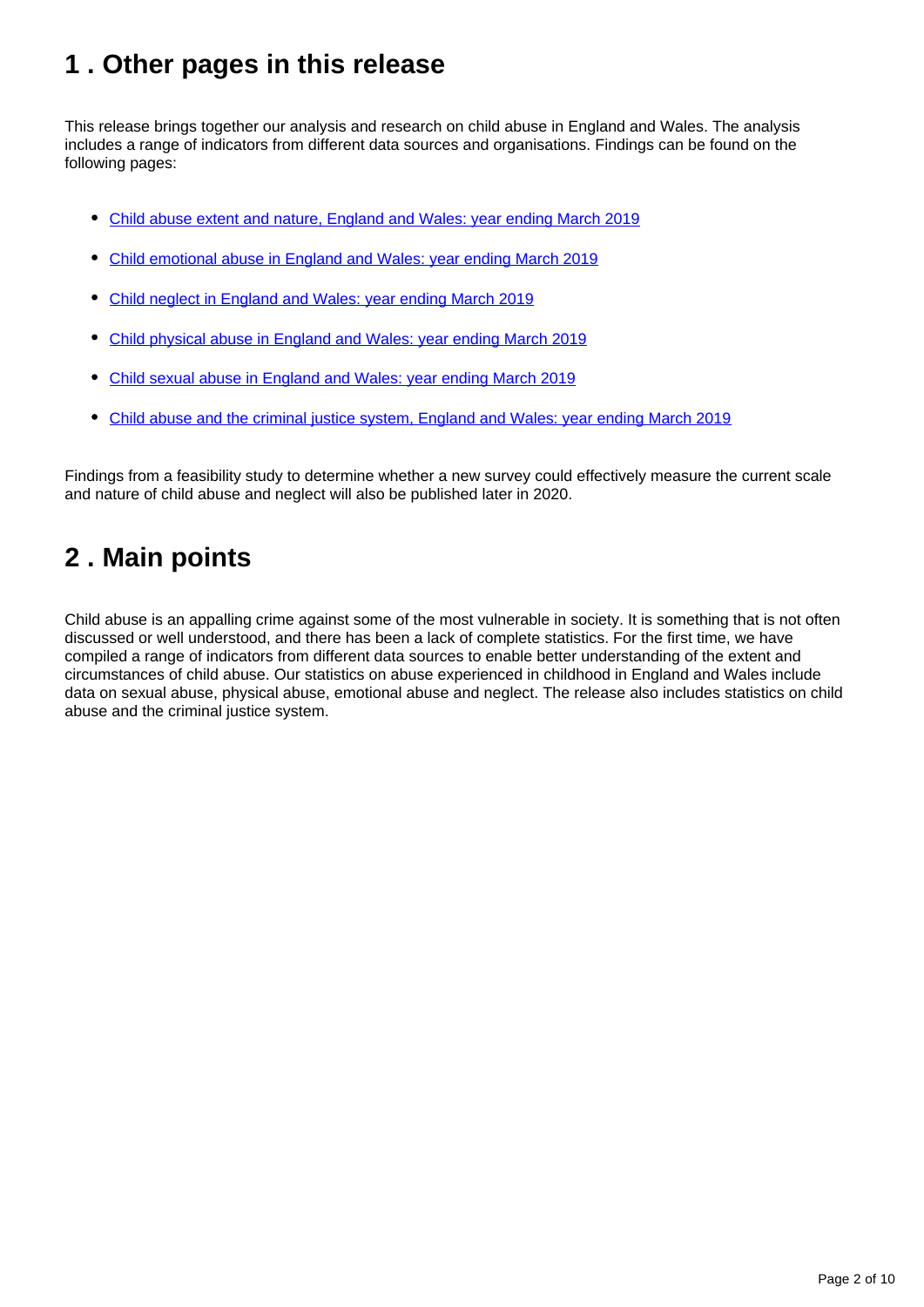## <span id="page-1-0"></span>**1 . Other pages in this release**

This release brings together our analysis and research on child abuse in England and Wales. The analysis includes a range of indicators from different data sources and organisations. Findings can be found on the following pages:

- [Child abuse extent and nature, England and Wales: year ending March 2019](https://www.ons.gov.uk/peoplepopulationandcommunity/crimeandjustice/articles/childabuseextentandnatureenglandandwales/yearendingmarch2019)
- [Child emotional abuse in England and Wales: year ending March 2019](https://www.ons.gov.uk/peoplepopulationandcommunity/crimeandjustice/articles/childemotionalabuseinenglandandwales/yearendingmarch2019)
- [Child neglect in England and Wales: year ending March 2019](https://www.ons.gov.uk/peoplepopulationandcommunity/crimeandjustice/articles/childneglectinenglandandwales/yearendingmarch2019)
- [Child physical abuse in England and Wales: year ending March 2019](https://www.ons.gov.uk/peoplepopulationandcommunity/crimeandjustice/articles/childphysicalabuseinenglandandwales/yearendingmarch2019)
- [Child sexual abuse in England and Wales: year ending March 2019](https://www.ons.gov.uk/peoplepopulationandcommunity/crimeandjustice/articles/childsexualabuseinenglandandwales/yearendingmarch2019)
- [Child abuse and the criminal justice system, England and Wales: year ending March 2019](https://www.ons.gov.uk/peoplepopulationandcommunity/crimeandjustice/articles/childabuseandthecriminaljusticesystemenglandandwales/yearendingmarch2019)

Findings from a feasibility study to determine whether a new survey could effectively measure the current scale and nature of child abuse and neglect will also be published later in 2020.

## <span id="page-1-1"></span>**2 . Main points**

Child abuse is an appalling crime against some of the most vulnerable in society. It is something that is not often discussed or well understood, and there has been a lack of complete statistics. For the first time, we have compiled a range of indicators from different data sources to enable better understanding of the extent and circumstances of child abuse. Our statistics on abuse experienced in childhood in England and Wales include data on sexual abuse, physical abuse, emotional abuse and neglect. The release also includes statistics on child abuse and the criminal justice system.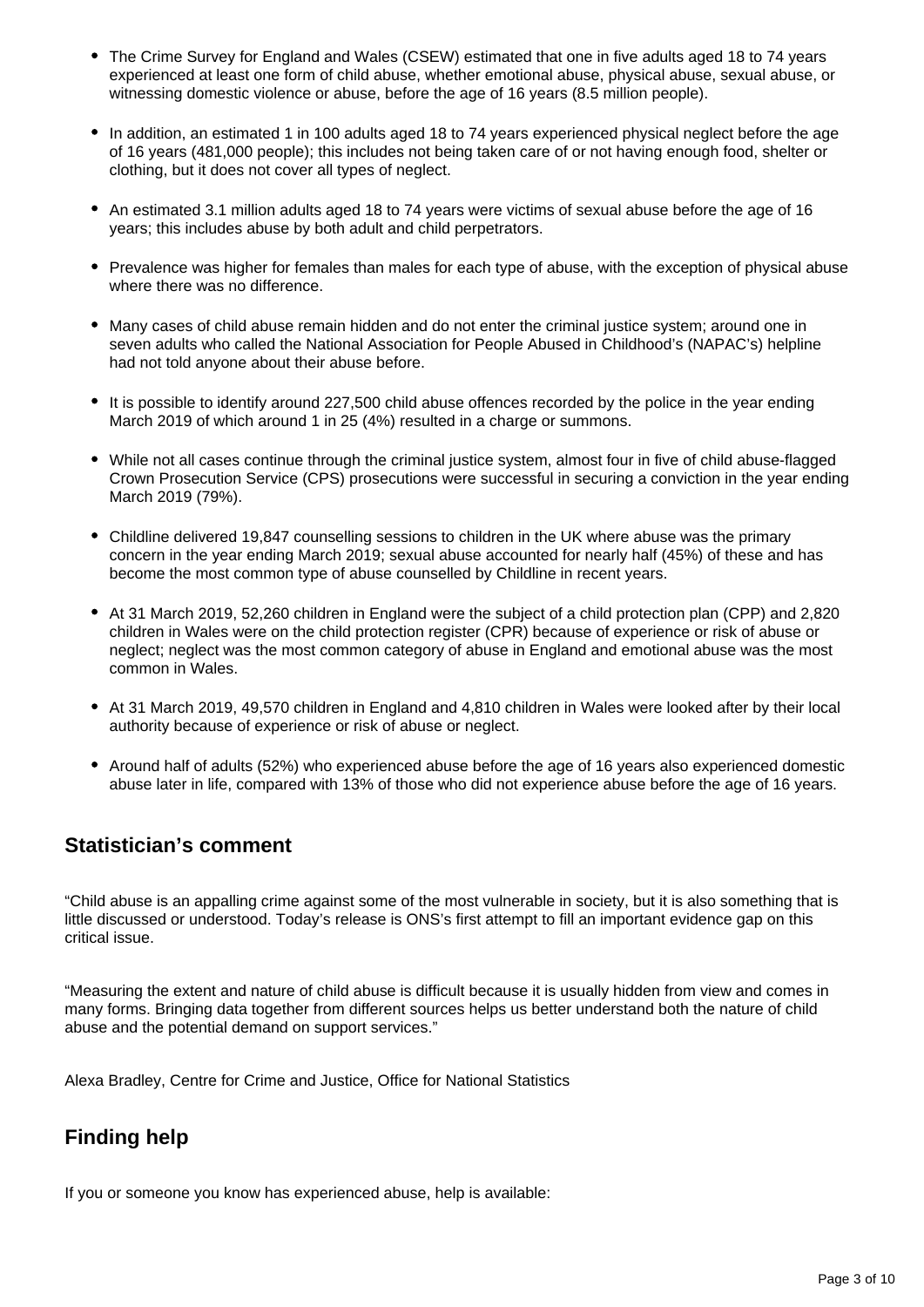- The Crime Survey for England and Wales (CSEW) estimated that one in five adults aged 18 to 74 years experienced at least one form of child abuse, whether emotional abuse, physical abuse, sexual abuse, or witnessing domestic violence or abuse, before the age of 16 years (8.5 million people).
- In addition, an estimated 1 in 100 adults aged 18 to 74 years experienced physical neglect before the age of 16 years (481,000 people); this includes not being taken care of or not having enough food, shelter or clothing, but it does not cover all types of neglect.
- An estimated 3.1 million adults aged 18 to 74 years were victims of sexual abuse before the age of 16 years; this includes abuse by both adult and child perpetrators.
- Prevalence was higher for females than males for each type of abuse, with the exception of physical abuse where there was no difference.
- Many cases of child abuse remain hidden and do not enter the criminal justice system; around one in seven adults who called the National Association for People Abused in Childhood's (NAPAC's) helpline had not told anyone about their abuse before.
- It is possible to identify around 227,500 child abuse offences recorded by the police in the year ending March 2019 of which around 1 in 25 (4%) resulted in a charge or summons.
- While not all cases continue through the criminal justice system, almost four in five of child abuse-flagged Crown Prosecution Service (CPS) prosecutions were successful in securing a conviction in the year ending March 2019 (79%).
- Childline delivered 19,847 counselling sessions to children in the UK where abuse was the primary concern in the year ending March 2019; sexual abuse accounted for nearly half (45%) of these and has become the most common type of abuse counselled by Childline in recent years.
- At 31 March 2019, 52,260 children in England were the subject of a child protection plan (CPP) and 2,820 children in Wales were on the child protection register (CPR) because of experience or risk of abuse or neglect; neglect was the most common category of abuse in England and emotional abuse was the most common in Wales.
- At 31 March 2019, 49,570 children in England and 4,810 children in Wales were looked after by their local authority because of experience or risk of abuse or neglect.
- Around half of adults (52%) who experienced abuse before the age of 16 years also experienced domestic abuse later in life, compared with 13% of those who did not experience abuse before the age of 16 years.

### **Statistician's comment**

"Child abuse is an appalling crime against some of the most vulnerable in society, but it is also something that is little discussed or understood. Today's release is ONS's first attempt to fill an important evidence gap on this critical issue.

"Measuring the extent and nature of child abuse is difficult because it is usually hidden from view and comes in many forms. Bringing data together from different sources helps us better understand both the nature of child abuse and the potential demand on support services."

Alexa Bradley, Centre for Crime and Justice, Office for National Statistics

### **Finding help**

If you or someone you know has experienced abuse, help is available: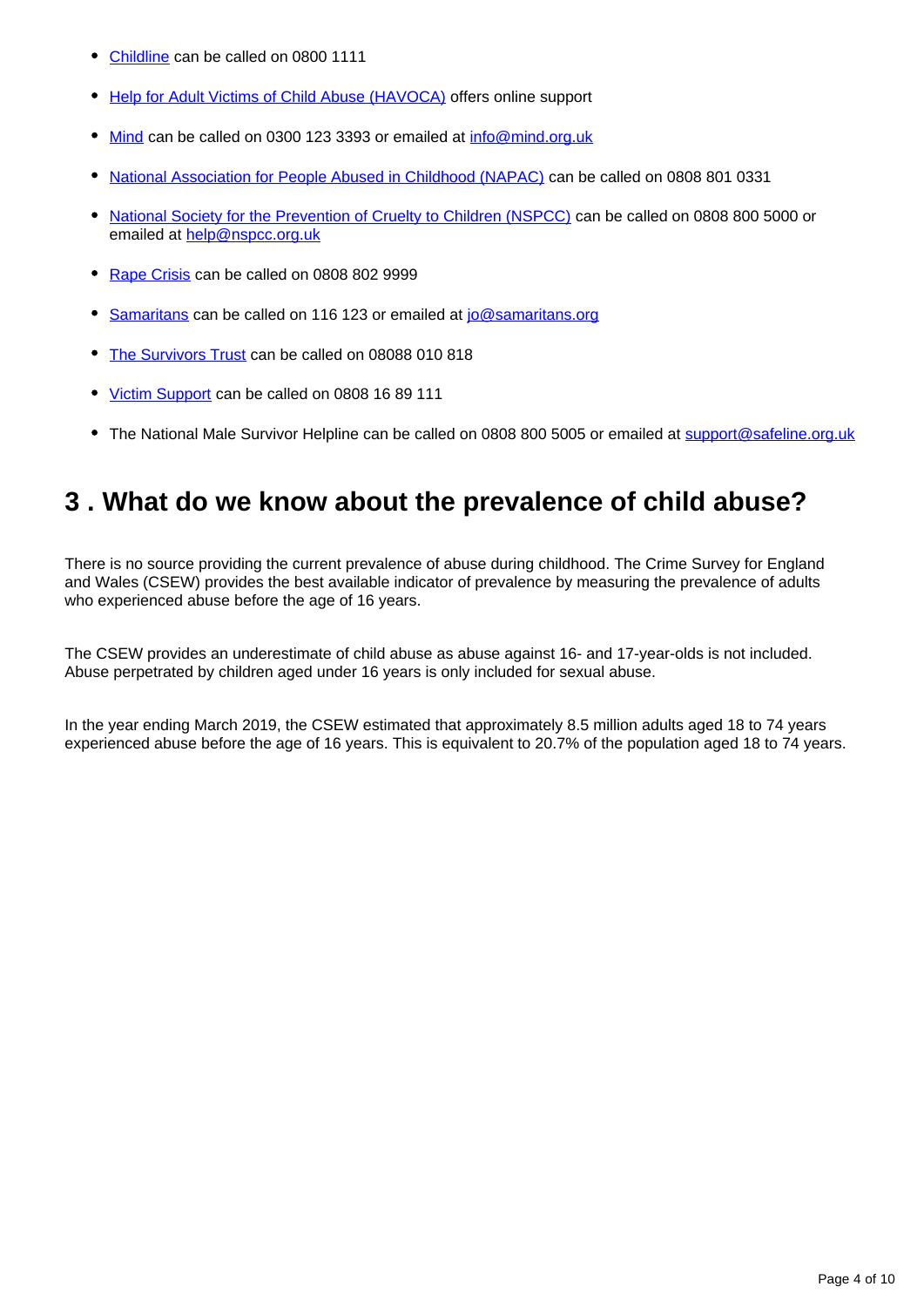- [Childline](http://www.childline.org.uk/) can be called on 0800 1111
- [Help for Adult Victims of Child Abuse \(HAVOCA\)](http://www.havoca.org/) offers online support
- [Mind](http://www.mind.org.uk/) can be called on 0300 123 3393 or emailed at [info@mind.org.uk](mailto:info@mind.org.uk)
- [National Association for People Abused in Childhood \(NAPAC\)](https://napac.org.uk/) can be called on 0808 801 0331
- [National Society for the Prevention of Cruelty to Children \(NSPCC\)](https://www.nspcc.org.uk/) can be called on 0808 800 5000 or emailed at [help@nspcc.org.uk](mailto:help@nspcc.org.uk)
- [Rape Crisis](https://rapecrisis.org.uk/get-help/find-a-rape-crisis-centre) can be called on 0808 802 9999
- [Samaritans](https://www.samaritans.org/how-we-can-help/contact-samaritan/) can be called on 116 123 or emailed at [jo@samaritans.org](mailto:jo@samaritans.org)
- $\bullet$ [The Survivors Trust](http://www.thesurvivorstrust.org/) can be called on 08088 010 818
- [Victim Support](http://www.victimsupport.org.uk/) can be called on 0808 16 89 111
- The National Male Survivor Helpline can be called on 0808 800 5005 or emailed at [support@safeline.org.uk](mailto:support@safeline.org.uk)

## <span id="page-3-0"></span>**3 . What do we know about the prevalence of child abuse?**

There is no source providing the current prevalence of abuse during childhood. The Crime Survey for England and Wales (CSEW) provides the best available indicator of prevalence by measuring the prevalence of adults who experienced abuse before the age of 16 years.

The CSEW provides an underestimate of child abuse as abuse against 16- and 17-year-olds is not included. Abuse perpetrated by children aged under 16 years is only included for sexual abuse.

In the year ending March 2019, the CSEW estimated that approximately 8.5 million adults aged 18 to 74 years experienced abuse before the age of 16 years. This is equivalent to 20.7% of the population aged 18 to 74 years.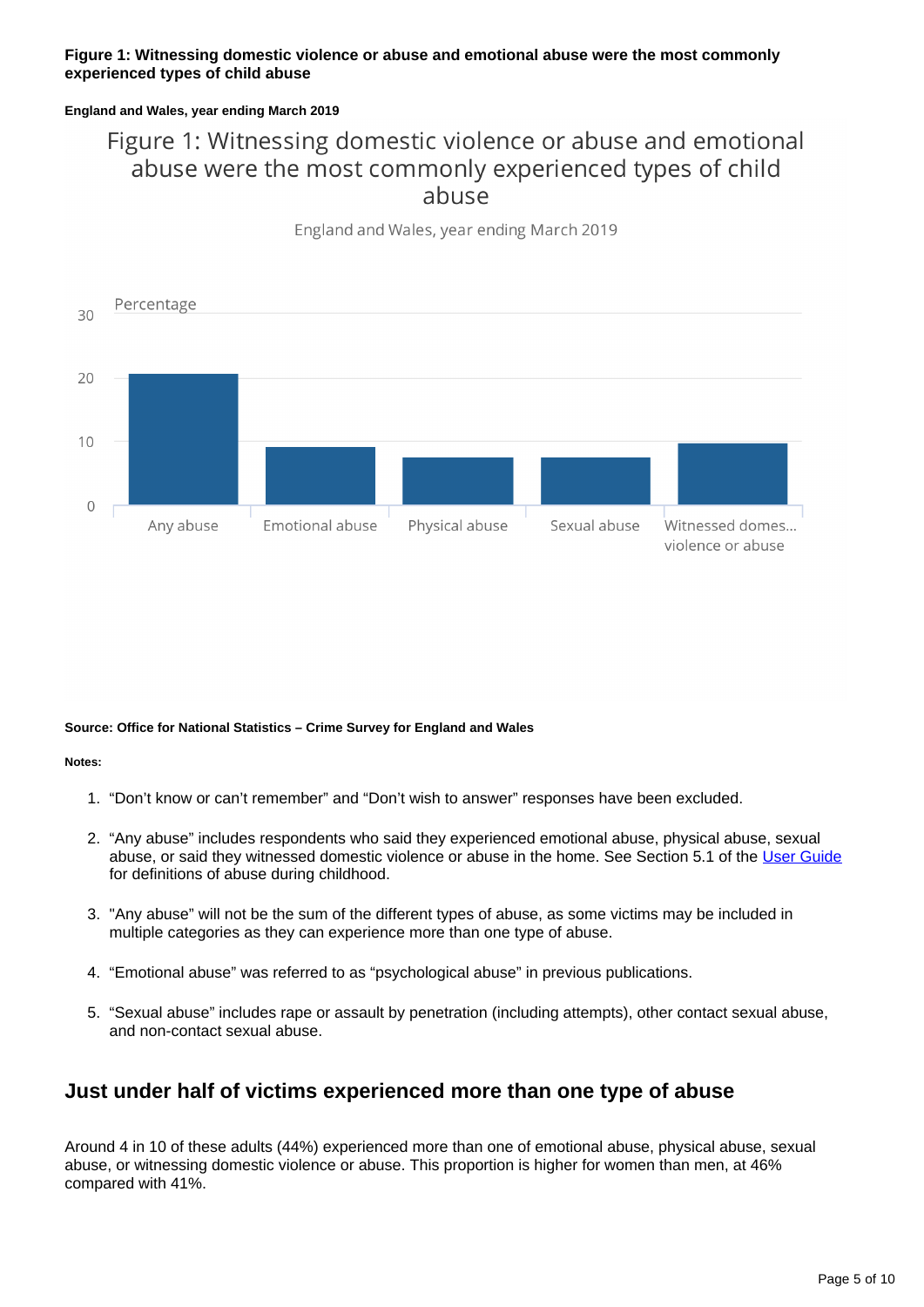#### **Figure 1: Witnessing domestic violence or abuse and emotional abuse were the most commonly experienced types of child abuse**

#### **England and Wales, year ending March 2019**

### Figure 1: Witnessing domestic violence or abuse and emotional abuse were the most commonly experienced types of child abuse

England and Wales, year ending March 2019



#### **Source: Office for National Statistics – Crime Survey for England and Wales**

#### **Notes:**

- 1. "Don't know or can't remember" and "Don't wish to answer" responses have been excluded.
- 2. "Any abuse" includes respondents who said they experienced emotional abuse, physical abuse, sexual abuse, or said they witnessed domestic violence or abuse in the home. See Section 5.1 of the [User Guide](https://www.ons.gov.uk/peoplepopulationandcommunity/crimeandjustice/methodologies/userguidetocrimestatisticsforenglandandwales) for definitions of abuse during childhood.
- 3. "Any abuse" will not be the sum of the different types of abuse, as some victims may be included in multiple categories as they can experience more than one type of abuse.
- 4. "Emotional abuse" was referred to as "psychological abuse" in previous publications.
- 5. "Sexual abuse" includes rape or assault by penetration (including attempts), other contact sexual abuse, and non-contact sexual abuse.

### **Just under half of victims experienced more than one type of abuse**

Around 4 in 10 of these adults (44%) experienced more than one of emotional abuse, physical abuse, sexual abuse, or witnessing domestic violence or abuse. This proportion is higher for women than men, at 46% compared with 41%.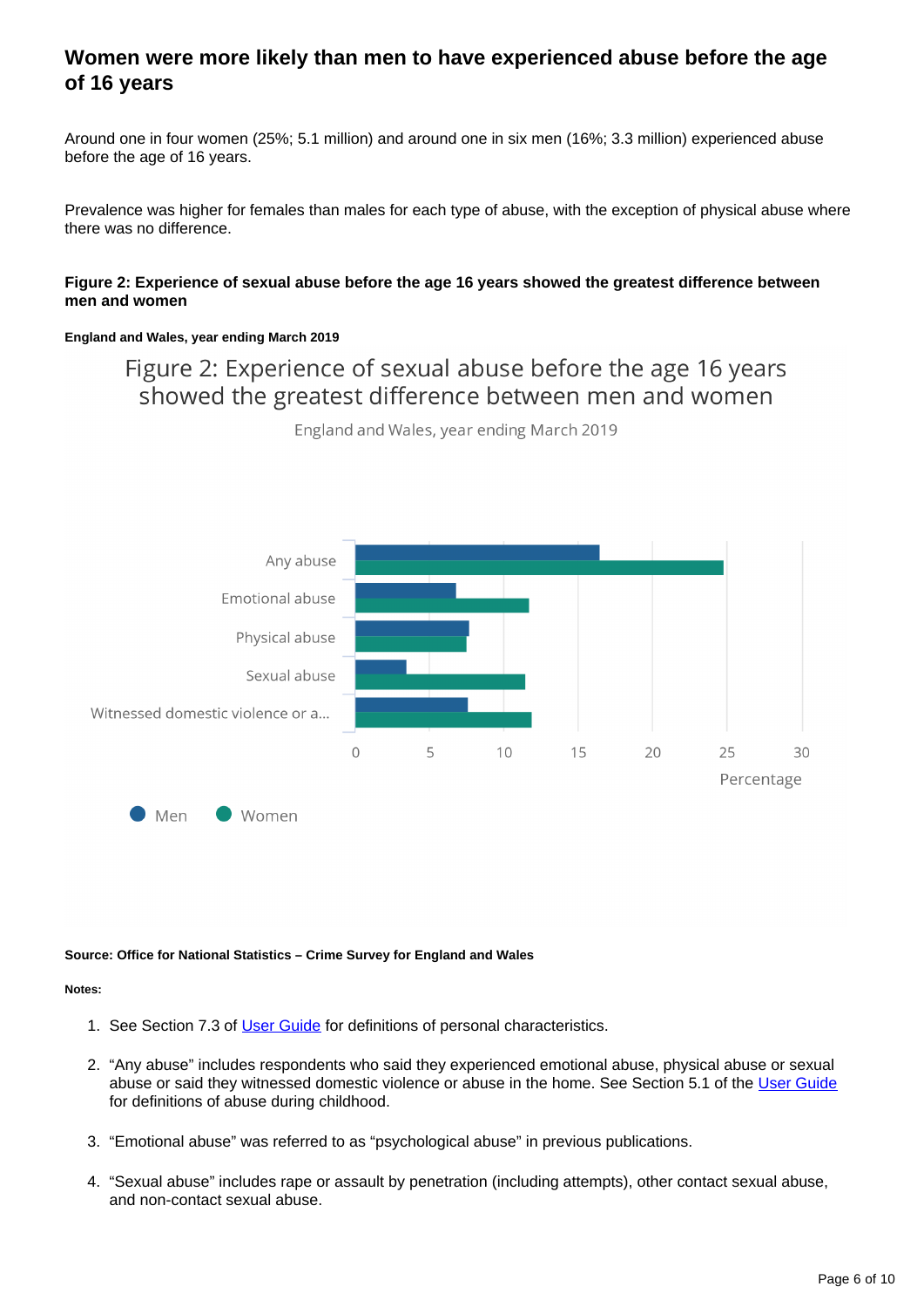### **Women were more likely than men to have experienced abuse before the age of 16 years**

Around one in four women (25%; 5.1 million) and around one in six men (16%; 3.3 million) experienced abuse before the age of 16 years.

Prevalence was higher for females than males for each type of abuse, with the exception of physical abuse where there was no difference.

#### **Figure 2: Experience of sexual abuse before the age 16 years showed the greatest difference between men and women**

#### **England and Wales, year ending March 2019**

### Figure 2: Experience of sexual abuse before the age 16 years showed the greatest difference between men and women

England and Wales, year ending March 2019



#### **Source: Office for National Statistics – Crime Survey for England and Wales**

#### **Notes:**

- 1. See Section 7.3 of [User Guide](https://www.ons.gov.uk/peoplepopulationandcommunity/crimeandjustice/methodologies/userguidetocrimestatisticsforenglandandwales) for definitions of personal characteristics.
- 2. "Any abuse" includes respondents who said they experienced emotional abuse, physical abuse or sexual abuse or said they witnessed domestic violence or abuse in the home. See Section 5.1 of the [User Guide](https://www.ons.gov.uk/peoplepopulationandcommunity/crimeandjustice/methodologies/userguidetocrimestatisticsforenglandandwales) for definitions of abuse during childhood.
- 3. "Emotional abuse" was referred to as "psychological abuse" in previous publications.
- 4. "Sexual abuse" includes rape or assault by penetration (including attempts), other contact sexual abuse, and non-contact sexual abuse.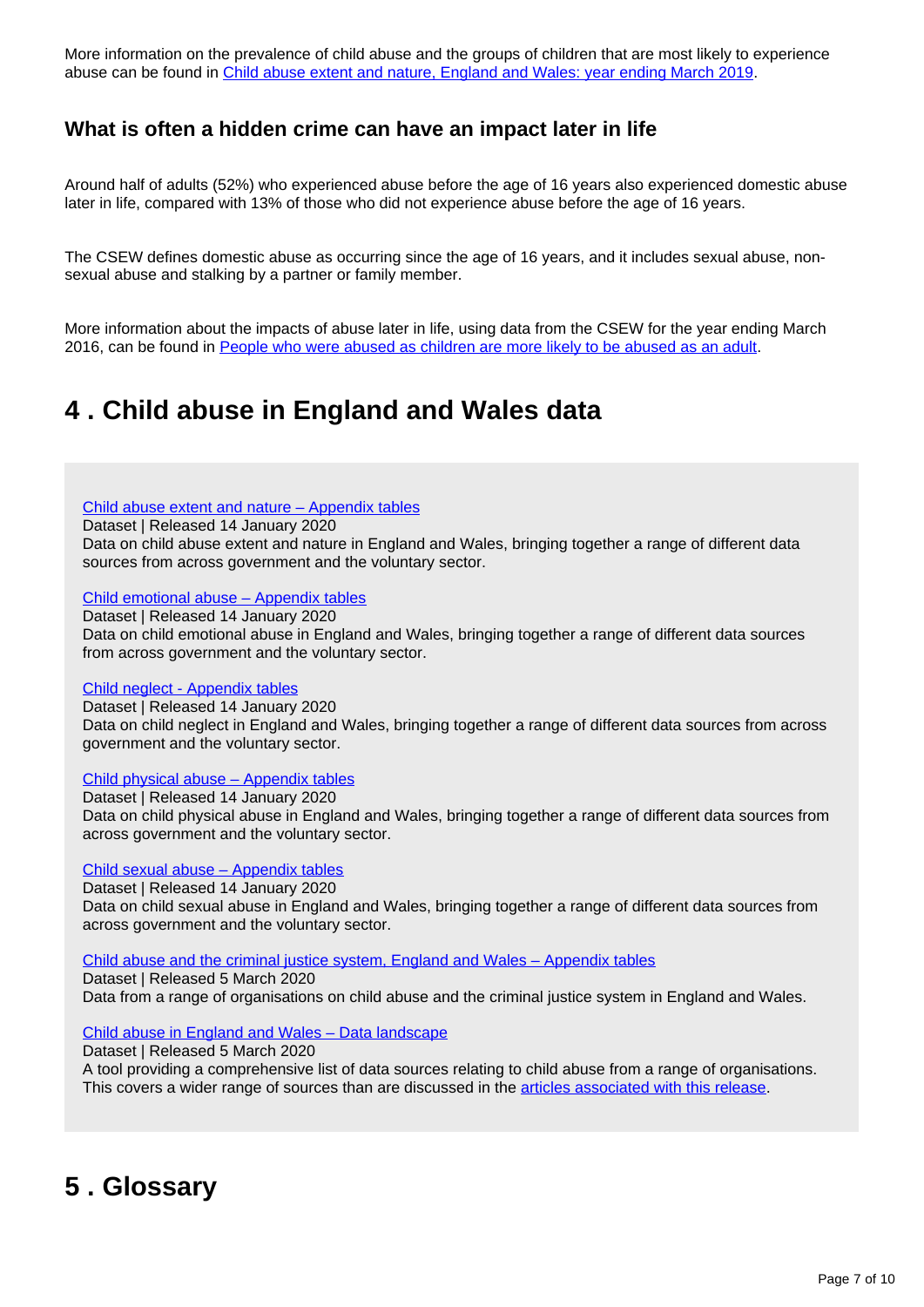More information on the prevalence of child abuse and the groups of children that are most likely to experience abuse can be found in [Child abuse extent and nature, England and Wales: year ending March 2019.](https://www.ons.gov.uk/peoplepopulationandcommunity/crimeandjustice/articles/childabuseextentandnatureenglandandwales/yearendingmarch2019)

### **What is often a hidden crime can have an impact later in life**

Around half of adults (52%) who experienced abuse before the age of 16 years also experienced domestic abuse later in life, compared with 13% of those who did not experience abuse before the age of 16 years.

The CSEW defines domestic abuse as occurring since the age of 16 years, and it includes sexual abuse, nonsexual abuse and stalking by a partner or family member.

More information about the impacts of abuse later in life, using data from the CSEW for the year ending March 2016, can be found in [People who were abused as children are more likely to be abused as an adult.](https://www.ons.gov.uk/peoplepopulationandcommunity/crimeandjustice/articles/peoplewhowereabusedaschildrenaremorelikelytobeabusedasanadult/2017-09-27)

## <span id="page-6-0"></span>**4 . Child abuse in England and Wales data**

#### [Child abuse extent and nature – Appendix tables](https://www.ons.gov.uk/peoplepopulationandcommunity/crimeandjustice/datasets/childabuseextentandnatureappendixtables)

Dataset | Released 14 January 2020

Data on child abuse extent and nature in England and Wales, bringing together a range of different data sources from across government and the voluntary sector.

#### [Child emotional abuse – Appendix tables](https://www.ons.gov.uk/peoplepopulationandcommunity/crimeandjustice/datasets/childemotionalabuseappendixtables)

Dataset | Released 14 January 2020

Data on child emotional abuse in England and Wales, bringing together a range of different data sources from across government and the voluntary sector.

#### [Child neglect - Appendix tables](https://www.ons.gov.uk/peoplepopulationandcommunity/crimeandjustice/datasets/childneglectappendixtables)

Dataset | Released 14 January 2020

Data on child neglect in England and Wales, bringing together a range of different data sources from across government and the voluntary sector.

#### [Child physical abuse – Appendix tables](https://www.ons.gov.uk/peoplepopulationandcommunity/crimeandjustice/datasets/childphysicalabuseappendixtables)

Dataset | Released 14 January 2020 Data on child physical abuse in England and Wales, bringing together a range of different data sources from across government and the voluntary sector.

#### [Child sexual abuse – Appendix tables](https://www.ons.gov.uk/peoplepopulationandcommunity/crimeandjustice/datasets/childsexualabuseappendixtables)

Dataset | Released 14 January 2020

Data on child sexual abuse in England and Wales, bringing together a range of different data sources from across government and the voluntary sector.

#### [Child abuse and the criminal justice system, England and Wales – Appendix tables](https://www.ons.gov.uk/peoplepopulationandcommunity/crimeandjustice/datasets/childabuseandthecriminaljusticesystemappendixtables)

Dataset | Released 5 March 2020

Data from a range of organisations on child abuse and the criminal justice system in England and Wales.

#### [Child abuse in England and Wales – Data landscape](https://www.ons.gov.uk/peoplepopulationandcommunity/crimeandjustice/datasets/childabuseinenglandandwalesdatalandscape)

Dataset | Released 5 March 2020

A tool providing a comprehensive list of data sources relating to child abuse from a range of organisations. This covers a wider range of sources than are discussed in the [articles associated with this release.](https://www.ons.gov.uk/peoplepopulationandcommunity/crimeandjustice/bulletins/childabuseinenglandandwales/january2020#other-pages-in-this-release)

### <span id="page-6-1"></span>**5 . Glossary**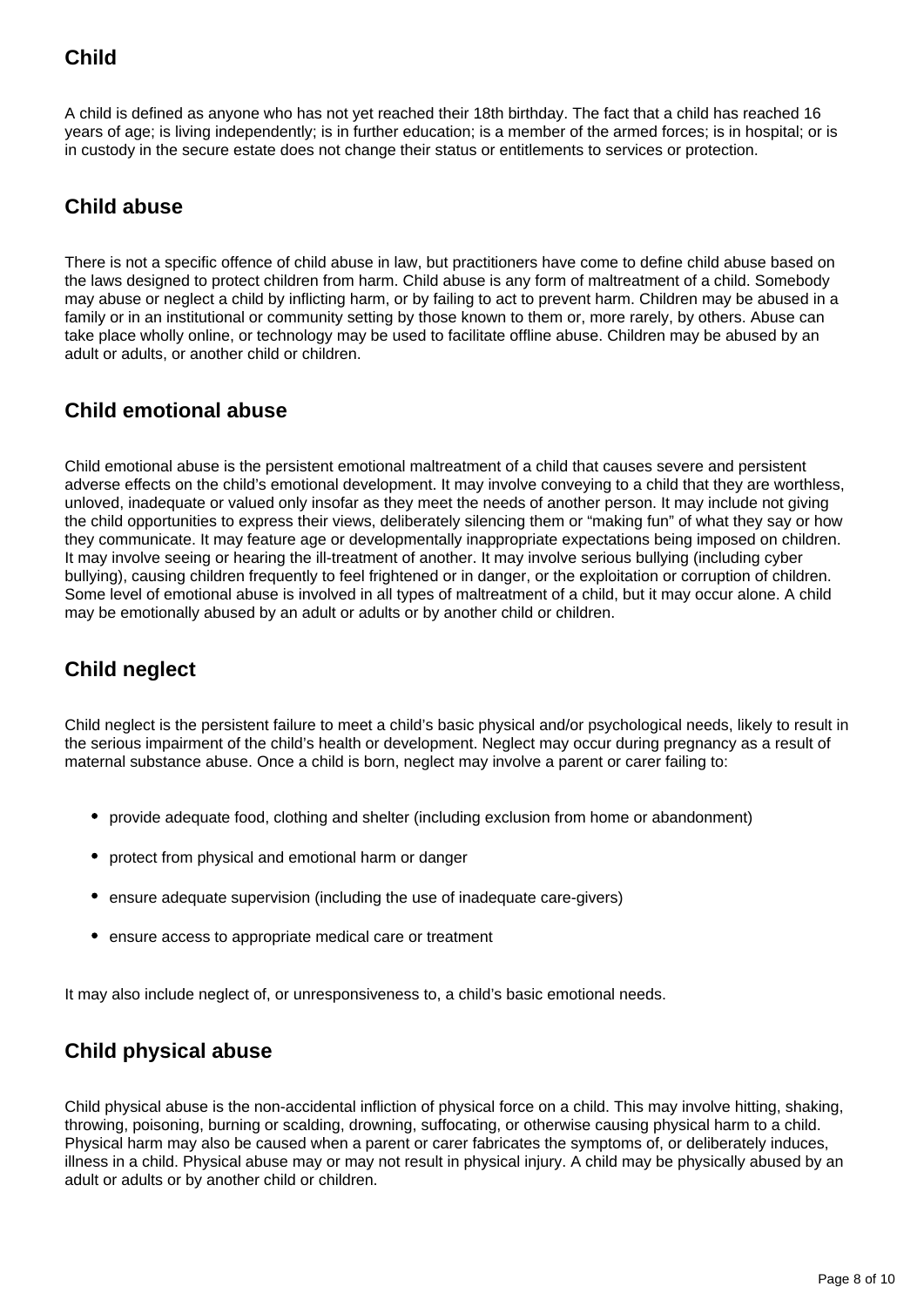### **Child**

A child is defined as anyone who has not yet reached their 18th birthday. The fact that a child has reached 16 years of age; is living independently; is in further education; is a member of the armed forces; is in hospital; or is in custody in the secure estate does not change their status or entitlements to services or protection.

### **Child abuse**

There is not a specific offence of child abuse in law, but practitioners have come to define child abuse based on the laws designed to protect children from harm. Child abuse is any form of maltreatment of a child. Somebody may abuse or neglect a child by inflicting harm, or by failing to act to prevent harm. Children may be abused in a family or in an institutional or community setting by those known to them or, more rarely, by others. Abuse can take place wholly online, or technology may be used to facilitate offline abuse. Children may be abused by an adult or adults, or another child or children.

### **Child emotional abuse**

Child emotional abuse is the persistent emotional maltreatment of a child that causes severe and persistent adverse effects on the child's emotional development. It may involve conveying to a child that they are worthless, unloved, inadequate or valued only insofar as they meet the needs of another person. It may include not giving the child opportunities to express their views, deliberately silencing them or "making fun" of what they say or how they communicate. It may feature age or developmentally inappropriate expectations being imposed on children. It may involve seeing or hearing the ill-treatment of another. It may involve serious bullying (including cyber bullying), causing children frequently to feel frightened or in danger, or the exploitation or corruption of children. Some level of emotional abuse is involved in all types of maltreatment of a child, but it may occur alone. A child may be emotionally abused by an adult or adults or by another child or children.

### **Child neglect**

Child neglect is the persistent failure to meet a child's basic physical and/or psychological needs, likely to result in the serious impairment of the child's health or development. Neglect may occur during pregnancy as a result of maternal substance abuse. Once a child is born, neglect may involve a parent or carer failing to:

- provide adequate food, clothing and shelter (including exclusion from home or abandonment)
- protect from physical and emotional harm or danger
- ensure adequate supervision (including the use of inadequate care-givers)
- ensure access to appropriate medical care or treatment

It may also include neglect of, or unresponsiveness to, a child's basic emotional needs.

### **Child physical abuse**

Child physical abuse is the non-accidental infliction of physical force on a child. This may involve hitting, shaking, throwing, poisoning, burning or scalding, drowning, suffocating, or otherwise causing physical harm to a child. Physical harm may also be caused when a parent or carer fabricates the symptoms of, or deliberately induces, illness in a child. Physical abuse may or may not result in physical injury. A child may be physically abused by an adult or adults or by another child or children.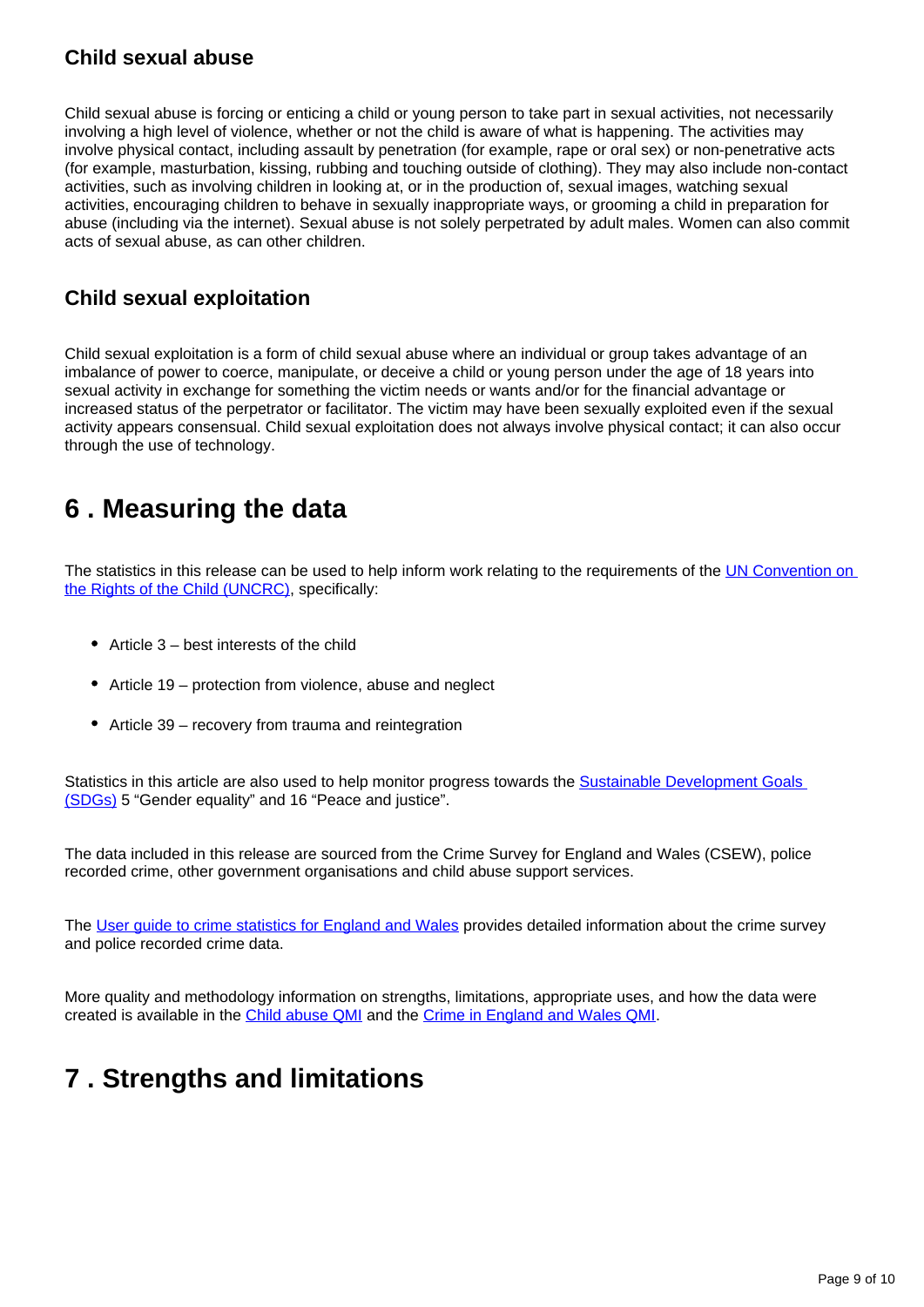### **Child sexual abuse**

Child sexual abuse is forcing or enticing a child or young person to take part in sexual activities, not necessarily involving a high level of violence, whether or not the child is aware of what is happening. The activities may involve physical contact, including assault by penetration (for example, rape or oral sex) or non-penetrative acts (for example, masturbation, kissing, rubbing and touching outside of clothing). They may also include non-contact activities, such as involving children in looking at, or in the production of, sexual images, watching sexual activities, encouraging children to behave in sexually inappropriate ways, or grooming a child in preparation for abuse (including via the internet). Sexual abuse is not solely perpetrated by adult males. Women can also commit acts of sexual abuse, as can other children.

### **Child sexual exploitation**

Child sexual exploitation is a form of child sexual abuse where an individual or group takes advantage of an imbalance of power to coerce, manipulate, or deceive a child or young person under the age of 18 years into sexual activity in exchange for something the victim needs or wants and/or for the financial advantage or increased status of the perpetrator or facilitator. The victim may have been sexually exploited even if the sexual activity appears consensual. Child sexual exploitation does not always involve physical contact; it can also occur through the use of technology.

## <span id="page-8-0"></span>**6 . Measuring the data**

The statistics in this release can be used to help inform work relating to the requirements of the [UN Convention on](https://downloads.unicef.org.uk/wp-content/uploads/2019/10/UNCRC_summary-1_1.pdf?_ga=2.251383488.732938496.1573037344-1573025988.1569398258)  [the Rights of the Child \(UNCRC\),](https://downloads.unicef.org.uk/wp-content/uploads/2019/10/UNCRC_summary-1_1.pdf?_ga=2.251383488.732938496.1573037344-1573025988.1569398258) specifically:

- Article 3 best interests of the child
- Article 19 protection from violence, abuse and neglect
- Article 39 recovery from trauma and reintegration

Statistics in this article are also used to help monitor progress towards the Sustainable Development Goals [\(SDGs\)](https://sustainabledevelopment-uk.github.io/) 5 "Gender equality" and 16 "Peace and justice".

The data included in this release are sourced from the Crime Survey for England and Wales (CSEW), police recorded crime, other government organisations and child abuse support services.

The [User guide to crime statistics for England and Wales](https://www.ons.gov.uk/peoplepopulationandcommunity/crimeandjustice/methodologies/userguidetocrimestatisticsforenglandandwales) provides detailed information about the crime survey and police recorded crime data.

More quality and methodology information on strengths, limitations, appropriate uses, and how the data were created is available in the [Child abuse QMI](https://www.ons.gov.uk/peoplepopulationandcommunity/crimeandjustice/methodologies/childabuseqmi) and the [Crime in England and Wales QMI.](https://www.ons.gov.uk/peoplepopulationandcommunity/crimeandjustice/methodologies/crimeinenglandandwalesqmi)

## <span id="page-8-1"></span>**7 . Strengths and limitations**